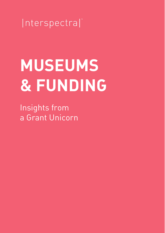

# **MUSEUMS & FUNDING**

Insights from a Grant Unicorn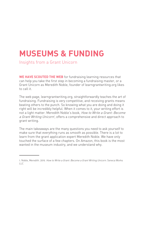### **MUSEUMS & FUNDING**

Insights from a Grant Unicorn

**WE HAVE SCOUTED THE WEB** for fundraising learning resources that can help you take the first step in becoming a fundraising master, or a Grant Unicorn as Meredith Noble, founder of learngrantwriting.org likes to call it.

The web page, learngrantwriting.org, straightforwardly teaches the art of fundraising. Fundraising is very competitive, and receiving grants means beating others to the punch. So knowing what you are doing and doing it right will be incredibly helpful. When it comes to it, your writing effort is not a light matter. Meredith Noble's book, How to Write a Grant: Become a Grant Writing Unicorn', offers a comprehensive and direct approach to grant writing.

The main takeaways are the many questions you need to ask yourself to make sure that everything runs as smooth as possible. There is a lot to learn from the grant application expert Meredith Noble. We have only touched the surface of a few chapters. On Amazon, this book is the most wanted in the museum industry, and we understand why.

<sup>1.</sup> Noble, Meredith. 2019. How to Write a Grant: Become a Grant Writing Unicorn. Seneca Works  $11C$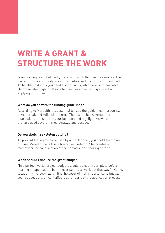## **WRITE A GRANT & STRUCTURE THE WORK**

Grant writing is a lot of work, there is no such thing as free money. The overall trick is continuity, stay on schedule and preform your best work. To be able to do this you need a set of skills, which are very learnable. Below we shed light on things to consider when writing a grant or applying for funding.

#### **What do you do with the funding guidelines?**

According to Meredith it is essential to read the guidelines thoroughly, take a break and refill with energy. Then come back, reread the instructions and sharpen your best pen and highlight keywords that are used several times. Analyze and decode.

#### **Do you sketch a skeleton outline?**

To prevent feeling overwhelmed by a blank paper, you could sketch an outline. Meredith calls this a Narrative Skeleton. She creates a framework for each section of the narrative and scoring criteria.

#### **When should I finalize the grant budget?**

"In a perfect world, project budgets would be nearly complete before starting an application, but it never seems to work out that way." (Noble. location 173, e-book. 2019). It is, however of high importance to finalize your budget early since it affects other parts of the application process.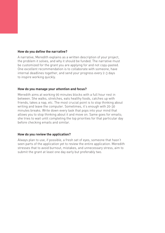#### **How do you define the narrative?**

A narrative, Meredith explains as a written description of your project, the problem it solves, and why it should be funded. The narrative must be customized for the grant you are applying for and not copy-pasted. One excellent recommendation is to collaborate with someone, have internal deadlines together, and send your progress every 2-3 days to inspire working quickly.

#### **How do you manage your attention and focus?**

Meredith aims at working 90 minutes blocks with a full hour rest in between. She walks, stretches, eats healthy foods, catches up with friends, takes a nap, etc. The most crucial point is to stop thinking about writing and leave the computer. Sometimes, it's enough with 20-30 minutes breaks. Write down every task that pops into your mind that allows you to stop thinking about it and move on. Same goes for emails; she tries to wait until completing the top priorities for that particular day before checking emails and similar.

#### **How do you review the application?**

Always plan to use, if possible, a fresh set of eyes, someone that hasn't seen parts of the application yet to review the entire application. Meredith stresses that to avoid burnout, mistakes, and unnecessary stress, aim to submit the grant at least one day early but preferably two.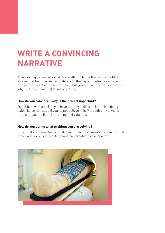### **WRITE A CONVINCING NARRATIVE**

A convincing narrative is vital. Meredith highlights that "you should tell stories that help the reader understand the bigger context for why your project matters. Do not just explain what you are going to do, show them why." (Noble. location 384, e-book. 2019).

#### **How do you convince - why is the project important?**

Describe it with passion; you have to really believe in it. It's like doing sales, its complicated if you do not believe in it. Meredith only takes on projects that she finds interesting and valuable.

#### **How do you define what problem you are solving?**

Show that it's more than a good idea. Funding organizations want to fund those who solve real problems and can create positive change.

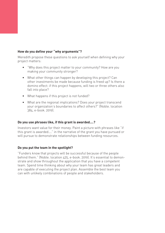#### **How do you define your "why arguments"?**

Meredith propose these questions to ask yourself when defining why your project matters:

- "Why does this project matter to your community? How are you making your community stronger?
- What other things can happen by developing this project? Can other investments be made because funding is freed up? Is there a domino effect: if this project happens, will two or three others also fall into place?
- What happens if this project is not funded?
- What are the regional implications? Does your project transcend your organization's boundaries to affect others?" (Noble. location 384, e-book. 2019).

#### **Do you use phrases like, if this grant is awarded….?**

Investors want value for their money. Paint a picture with phrases like "if this grant is awarded…." in the narrative of the grant you have pursued or will pursue to demonstrate relationships between funding resources.

#### **Do you put the team in the spotlight?**

"Funders know that projects will be successful because of the people behind them." (Noble. location 425, e-book. 2019). It's essential to demonstrate and show throughout the application that you have a competent team. Spend time thinking about why your team has great leaders and are capable of executing the project plan. Assemble the best team you can with unlikely combinations of people and stakeholders.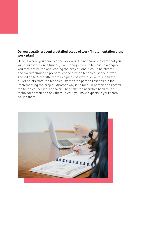#### **Do you usually present a detailed scope of work/implementation plan/ work plan?**

Here is where you convince the reviewer. Do not communicate that you will figure it out once funded, even though it could be true to a degree. You may not be the one leading the project, and it could be stressful and overwhelming to prepare, especially the technical scope of work. According to Meredith, there is a painless way to solve this: ask for bullet points from the technical staff or the person responsible for implementing the project. Another way is to meet in person and record the technical person's answer. Then take the narrative back to the technical person and ask them to edit, you have experts in your team so use them!

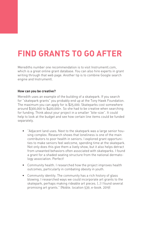## **FIND GRANTS TO GO AFTER**

Merediths number one recommendation is to visit Instrumentl.com, which is a great online grant database. You can also hire experts in grant writing through that web page. Another tip is to combine Google search engine and Instrumentl.

#### **How can you be creative?**

Meredith uses an example of the building of a skatepark. If you search for "skatepark grants" you probably end up at the Tony Hawk Foundation. The maximum you can apply for is \$25,000. Skateparks cost somewhere around \$300,000 to \$400,000+. So she had to be creative when searching for funding. Think about your project in a smaller "bite-size". It could help to look at the budget and see how certain line items could be funded separately.

- "Adjacent land uses. Next to the skatepark was a large senior housing complex. Research shows that loneliness is one of the main contributors to poor health in seniors. I explored grant opportunities to make seniors feel welcome, spending time at the skatepark. Not only does this give them a lively show, but it also helps detract from unwanted behaviors often associated with skateparks. I found a grant for a shaded seating structure from the national dermatology association. Perfect!
- Community health. I researched how the project improves health outcomes, particularly in combating obesity in youth.
- Community identity. The community has a rich history of glass blowing. I researched ways we could incorporate art grants to the skatepark, perhaps making rideable art pieces. (..) I found several promising art grants." (Noble. location 539, e-book. 2019)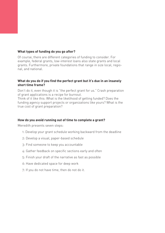#### **What types of funding do you go after?**

Of course, there are different categories of funding to consider. For example, federal grants, low-interest loans also state grants and local grants. Furthermore, private foundations that range in size local, regional, and national.

#### **What do you do if you find the perfect grant but it's due in an insanely short time frame?**

Don't do it, even though it is "the perfect grant for us." Crash preparation of grant applications is a recipe for burnout.

Think of it like this: What is the likelihood of getting funded? Does the funding agency support projects or organizations like yours? What is the true cost of grant preparation?

#### **How do you avoid running out of time to complete a grant?**

Meredith presents seven steps:

- 1: Develop your grant schedule working backward from the deadline
- 2: Develop a visual, paper-based schedule
- 3: Find someone to keep you accountable
- 4: Gather feedback on specific sections early and often
- 5: Finish your draft of the narrative as fast as possible
- 6: Have dedicated space for deep work
- 7: If you do not have time, then do not do it.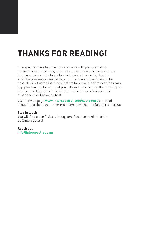# **THANKS FOR READING!**

Interspectral have had the honor to work with plenty small to medium-sized museums, university museums and science centers that have secured the funds to start research projects, develop exhibitions or implement technology they never thought would be possible. A lot of the institutes that we have worked with over the years apply for funding for our joint projects with positive results. Knowing our products and the value it ads to your museum or science center experience is what we do best.

Visit our web page **www.interspectral.com/customers** and read about the projects that other museums have had the funding to pursue.

#### **Stay in touch**

You will find us on Twitter, Instagram, Facebook and LinkedIn as @interspectral

**Reach out info@interspectral.com**